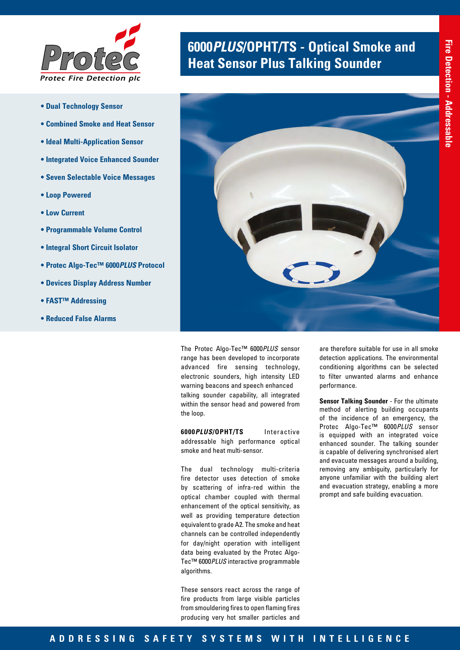

- **Dual Technology Sensor**
- **Combined Smoke and Heat Sensor**
- **Ideal Multi-Application Sensor**
- **Integrated Voice Enhanced Sounder**
- **Seven Selectable Voice Messages**
- **Loop Powered**
- **Low Current**
- **Programmable Volume Control**
- **Integral Short Circuit Isolator**
- **Protec Algo-Tec™ 6000***PLUS* **Protocol**
- **Devices Display Address Number**
- **FAST™ Addressing**
- **Reduced False Alarms**

# **6000 PLUS/OPHT/TS - Optical Smoke and** *Protecce* **<b>Heat Sensor Plus Talking Sounder**



The Protec Algo-Tec™ 6000*PLUS* sensor range has been developed to incorporate advanced fire sensing technology, electronic sounders, high intensity LED warning beacons and speech enhanced talking sounder capability, all integrated within the sensor head and powered from the loop.

**6000***PLUS***/OPHT/TS** Interactive addressable high performance optical smoke and heat multi-sensor.

The dual technology multi-criteria fire detector uses detection of smoke by scattering of infra-red within the optical chamber coupled with thermal enhancement of the optical sensitivity, as well as providing temperature detection equivalent to grade A2. The smoke and heat channels can be controlled independently for day/night operation with intelligent data being evaluated by the Protec Algo-Tec™ 6000*PLUS* interactive programmable algorithms.

These sensors react across the range of fire products from large visible particles from smouldering fires to open flaming fires producing very hot smaller particles and

are therefore suitable for use in all smoke detection applications. The environmental conditioning algorithms can be selected to filter unwanted alarms and enhance performance.

**Sensor Talking Sounder** - For the ultimate method of alerting building occupants of the incidence of an emergency, the Protec Algo-Tec™ 6000*PLUS* sensor is equipped with an integrated voice enhanced sounder. The talking sounder is capable of delivering synchronised alert and evacuate messages around a building, removing any ambiguity, particularly for anyone unfamiliar with the building alert and evacuation strategy, enabling a more prompt and safe building evacuation.